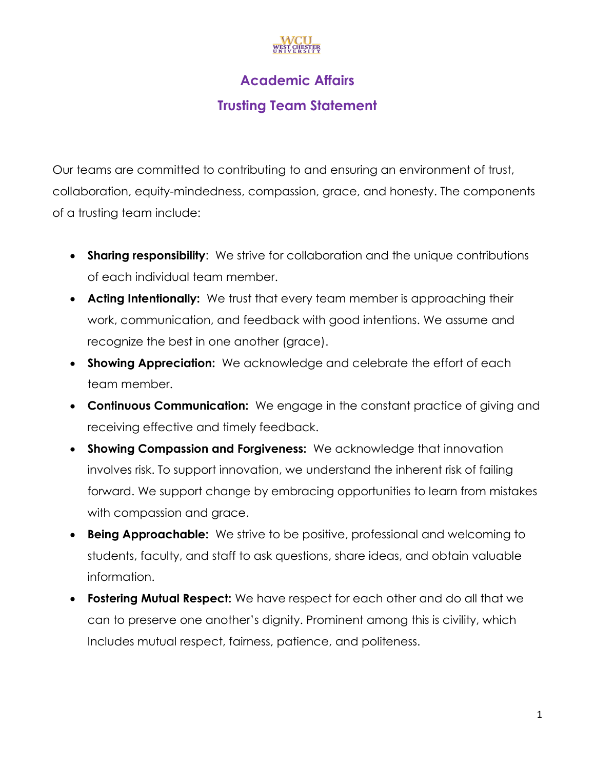# **Academic Affairs**

## **Trusting Team Statement**

Our teams are committed to contributing to and ensuring an environment of trust, collaboration, equity-mindedness, compassion, grace, and honesty. The components of a trusting team include:

- **Sharing responsibility**: We strive for collaboration and the unique contributions of each individual team member.
- **Acting Intentionally:** We trust that every team member is approaching their work, communication, and feedback with good intentions. We assume and recognize the best in one another (grace).
- **Showing Appreciation:** We acknowledge and celebrate the effort of each team member.
- **Continuous Communication:** We engage in the constant practice of giving and receiving effective and timely feedback.
- **Showing Compassion and Forgiveness:** We acknowledge that innovation involves risk. To support innovation, we understand the inherent risk of failing forward. We support change by embracing opportunities to learn from mistakes with compassion and grace.
- **Being Approachable:** We strive to be positive, professional and welcoming to students, faculty, and staff to ask questions, share ideas, and obtain valuable information.
- **Fostering Mutual Respect:** We have respect for each other and do all that we can to preserve one another's dignity. Prominent among this is civility, which Includes mutual respect, fairness, patience, and politeness.